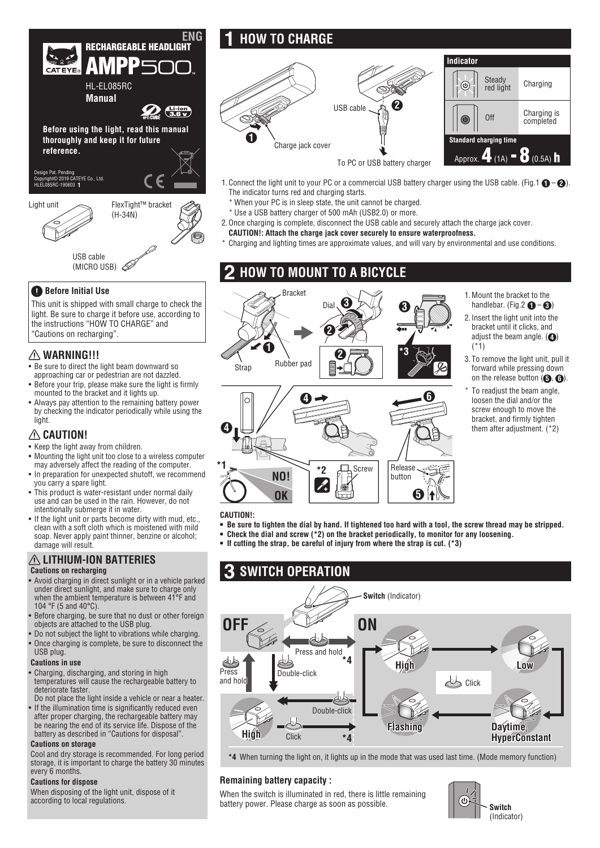

## $\bullet$  **Before Initial Use**

This unit is shipped with small charge to check the light. Be sure to charge it before use, according to the instructions "HOW TO CHARGE" and "Cautions on recharging".

## **WARNING!!!**

- Be sure to direct the light beam downward so approaching car or pedestrian are not dazzled.
- Before your trip, please make sure the light is firmly mounted to the bracket and it lights up.
- Always pay attention to the remaining battery power by checking the indicator periodically while using the light.

# **CAUTION!**

- Keep the light away from children.
- Mounting the light unit too close to a wireless computer may adversely affect the reading of the computer.
- In preparation for unexpected shutoff, we recommend you carry a spare light.
- This product is water-resistant under normal daily use and can be used in the rain. However, do not intentionally submerge it in water.
- If the light unit or parts become dirty with mud, etc., clean with a soft cloth which is moistened with mild soap. Never apply paint thinner, benzine or alcohol; damage will result.

# **LITHIUM-ION BATTERIES**

#### **Cautions on recharging**

- Avoid charging in direct sunlight or in a vehicle parked under direct sunlight, and make sure to charge only when the ambient temperature is between 41°F and 104 °F (5 and 40°C).
- Before charging, be sure that no dust or other foreign objects are attached to the USB plug.
- Do not subject the light to vibrations while charging. • Once charging is complete, be sure to disconnect the USB plug.

## **Cautions in use**

- Charging, discharging, and storing in high temperatures will cause the rechargeable battery to deteriorate faster. Do not place the light inside a vehicle or near a heater.
- If the illumination time is significantly reduced even after proper charging, the rechargeable battery may be nearing the end of its service life. Dispose of the battery as described in "Cautions for disposal".

## **Cautions on storage**

Cool and dry storage is recommended. For long period storage, it is important to charge the battery 30 minutes every 6 months.

## **Cautions for dispose**

When disposing of the light unit, dispose of it according to local regulations.

# **HOW TO CHARGE**



- **1. Connect the light unit to your PC or a commercial USB battery charger using the USB cable. (Fig.1**  $\bigcirc$  **-** $\bigcirc$ **).**  The indicator turns red and charging starts.
	- \* When your PC is in sleep state, the unit cannot be charged.
- \* Use a USB battery charger of 500 mAh (USB2.0) or more.
- 2. Once charging is complete, disconnect the USB cable and securely attach the charge jack cover. **CAUTION!: Attach the charge jack cover securely to ensure waterproofness.**
- Charging and lighting times are approximate values, and will vary by environmental and use conditions.

**2 HOW TO MOUNT TO A BICYCLE**  $\overline{\bullet}$  **1 2 1 1 1 1 1 2 2 3 3 Bracket** Dial Strap Rubber pad **4**  $\rightarrow$  **6 6** 

- 1. Mount the bracket to the handlebar. (Fig.2  $\bigcirc$  –  $\bigcirc$ )
- 2. Insert the light unit into the bracket until it clicks, and adjust the beam angle.  $\left( \bigodot \right)$ (\*1)
- 3. To remove the light unit, pull it forward while pressing down on the release button  $(\bigodot, \bigodot)$ .
- To readjust the beam angle, loosen the dial and/or the screw enough to move the bracket, and firmly tighten them after adjustment. (\*2)



**OK NO!**

 $*1$  **\*1**<br>**NOI**  $*2$ 

**• Be sure to tighten the dial by hand. If tightened too hard with a tool, the screw thread may be stripped.**

Release button

**5**

**• Check the dial and screw (\*2) on the bracket periodically, to monitor for any loosening.**

**Screw** 

**• If cutting the strap, be careful of injury from where the strap is cut. (\*3)** 



**\*4** When turning the light on, it lights up in the mode that was used last time. (Mode memory function)

## **Remaining battery capacity :**

When the switch is illuminated in red, there is little remaining battery power. Please charge as soon as possible.